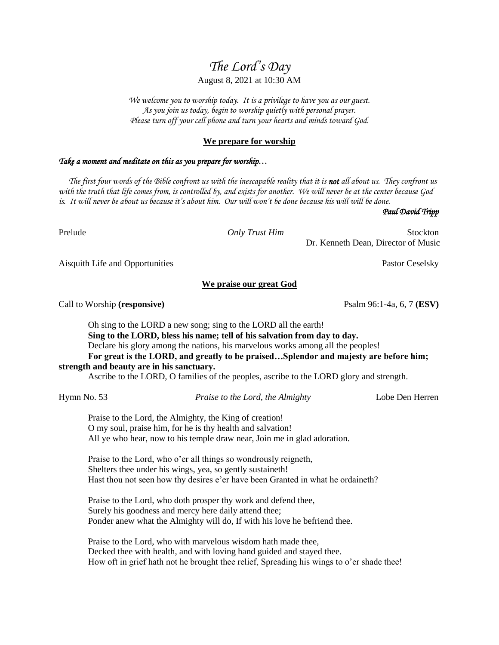# *The Lord's Day*

## August 8, 2021 at 10:30 AM

*We welcome you to worship today. It is a privilege to have you as our guest. As you join us today, begin to worship quietly with personal prayer. Please turn off your cell phone and turn your hearts and minds toward God.*

#### **We prepare for worship**

## *Take a moment and meditate on this as you prepare for worship…*

 *The first four words of the Bible confront us with the inescapable reality that it is not all about us. They confront us with the truth that life comes from, is controlled by, and exists for another. We will never be at the center because God*  is. It will never be about us because it's about him. Our will won't be done because his will will be done.

#### *Paul David Tripp*

Prelude *Only Trust Him* Stockton Dr. Kenneth Dean, Director of Music

Aisquith Life and Opportunities **Pastor Ceselsky** Pastor Ceselsky

### **We praise our great God**

Call to Worship **(responsive)** Psalm 96:1-4a, 6, 7 **(ESV)**

Oh sing to the LORD a new song; sing to the LORD all the earth!

**Sing to the LORD, bless his name; tell of his salvation from day to day.** Declare his glory among the nations, his marvelous works among all the peoples! **For great is the LORD, and greatly to be praised…Splendor and majesty are before him; strength and beauty are in his sanctuary.**

Ascribe to the LORD, O families of the peoples, ascribe to the LORD glory and strength.

Hymn No. 53 *Praise to the Lord, the Almighty* Lobe Den Herren

Praise to the Lord, the Almighty, the King of creation! O my soul, praise him, for he is thy health and salvation! All ye who hear, now to his temple draw near, Join me in glad adoration.

Praise to the Lord, who o'er all things so wondrously reigneth, Shelters thee under his wings, yea, so gently sustaineth! Hast thou not seen how thy desires e'er have been Granted in what he ordaineth?

Praise to the Lord, who doth prosper thy work and defend thee, Surely his goodness and mercy here daily attend thee; Ponder anew what the Almighty will do, If with his love he befriend thee.

Praise to the Lord, who with marvelous wisdom hath made thee, Decked thee with health, and with loving hand guided and stayed thee. How oft in grief hath not he brought thee relief, Spreading his wings to o'er shade thee!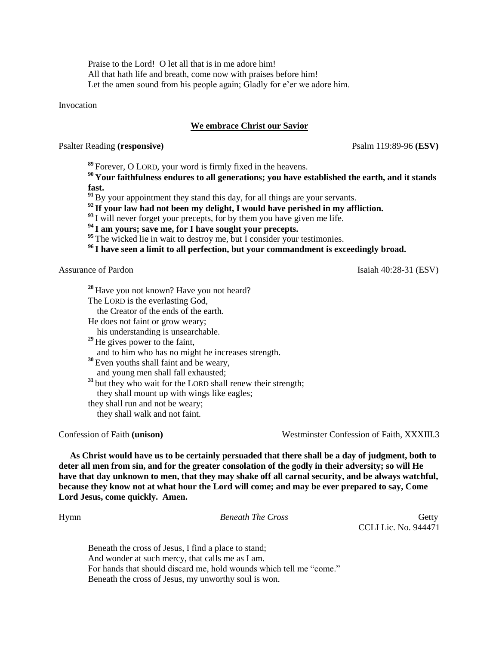Praise to the Lord! O let all that is in me adore him! All that hath life and breath, come now with praises before him! Let the amen sound from his people again; Gladly for e'er we adore him.

Invocation

### **We embrace Christ our Savior**

Psalter Reading **(responsive)** Psalm 119:89-96 **(ESV)**

**<sup>89</sup>** Forever, O LORD, your word is firmly fixed in the heavens.

**<sup>90</sup> Your faithfulness endures to all generations; you have established the earth, and it stands fast.**

**<sup>91</sup>**By your appointment they stand this day, for all things are your servants.

**<sup>92</sup> If your law had not been my delight, I would have perished in my affliction.**

<sup>93</sup> I will never forget your precepts, for by them you have given me life.

**<sup>94</sup> I am yours; save me, for I have sought your precepts.**

<sup>95</sup> The wicked lie in wait to destroy me, but I consider your testimonies.

**<sup>96</sup> I have seen a limit to all perfection, but your commandment is exceedingly broad.**

Assurance of Pardon Isaiah 40:28-31 (ESV)

**<sup>28</sup>** Have you not known? Have you not heard? The LORD is the everlasting God, the Creator of the ends of the earth. He does not faint or grow weary; his understanding is unsearchable. **<sup>29</sup>** He gives power to the faint, and to him who has no might he increases strength. **<sup>30</sup>** Even youths shall faint and be weary, and young men shall fall exhausted; <sup>31</sup> but they who wait for the LORD shall renew their strength; they shall mount up with wings like eagles; they shall run and not be weary; they shall walk and not faint.

Confession of Faith **(unison)** Westminster Confession of Faith, XXXIII.3

 **As Christ would have us to be certainly persuaded that there shall be a day of judgment, both to deter all men from sin, and for the greater consolation of the godly in their adversity; so will He have that day unknown to men, that they may shake off all carnal security, and be always watchful, because they know not at what hour the Lord will come; and may be ever prepared to say, Come Lord Jesus, come quickly. Amen.**

Hymn *Beneath The Cross*Getty CCLI Lic. No. 944471

Beneath the cross of Jesus, I find a place to stand; And wonder at such mercy, that calls me as I am. For hands that should discard me, hold wounds which tell me "come." Beneath the cross of Jesus, my unworthy soul is won.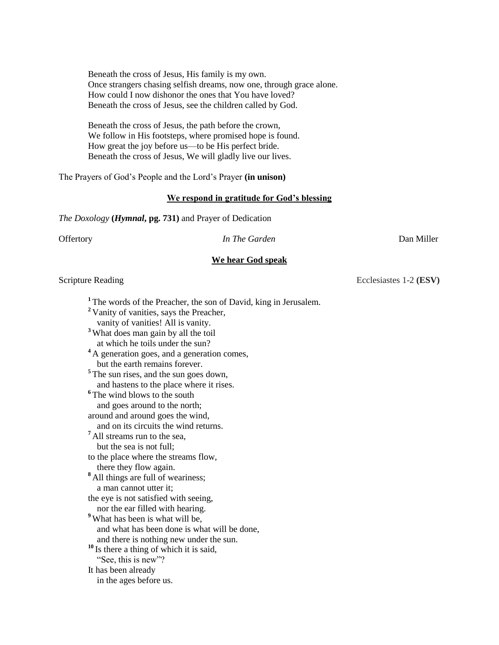Beneath the cross of Jesus, His family is my own. Once strangers chasing selfish dreams, now one, through grace alone. How could I now dishonor the ones that You have loved? Beneath the cross of Jesus, see the children called by God.

Beneath the cross of Jesus, the path before the crown, We follow in His footsteps, where promised hope is found. How great the joy before us—to be His perfect bride. Beneath the cross of Jesus, We will gladly live our lives.

The Prayers of God's People and the Lord's Prayer **(in unison)** 

## **We respond in gratitude for God's blessing**

*The Doxology* **(***Hymnal***, pg. 731)** and Prayer of Dedication

Offertory *In The Garden* Dan Miller

### **We hear God speak**

## Scripture Reading **Ecclesiastes 1-2 (ESV) Ecclesiastes 1-2 (ESV)**

**<sup>1</sup>** The words of the Preacher, the son of David, king in Jerusalem. **<sup>2</sup>** Vanity of vanities, says the Preacher, vanity of vanities! All is vanity. **<sup>3</sup>** What does man gain by all the toil at which he toils under the sun? **<sup>4</sup>** A generation goes, and a generation comes, but the earth remains forever. <sup>5</sup> The sun rises, and the sun goes down, and hastens to the place where it rises. **<sup>6</sup>** The wind blows to the south and goes around to the north; around and around goes the wind, and on its circuits the wind returns. <sup>7</sup> All streams run to the sea. but the sea is not full; to the place where the streams flow, there they flow again. <sup>8</sup> All things are full of weariness; a man cannot utter it; the eye is not satisfied with seeing, nor the ear filled with hearing. <sup>9</sup> What has been is what will be, and what has been done is what will be done, and there is nothing new under the sun. <sup>10</sup> Is there a thing of which it is said, "See, this is new"? It has been already in the ages before us.